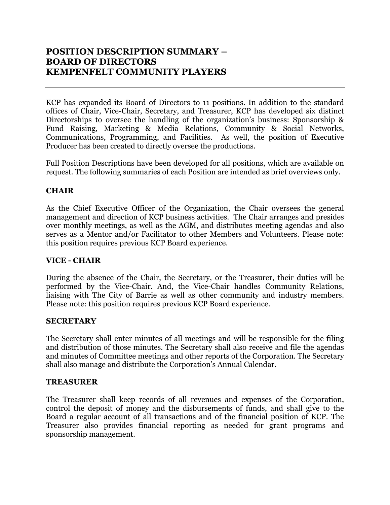KCP has expanded its Board of Directors to 11 positions. In addition to the standard offices of Chair, Vice-Chair, Secretary, and Treasurer, KCP has developed six distinct Directorships to oversee the handling of the organization's business: Sponsorship & Fund Raising, Marketing & Media Relations, Community & Social Networks, Communications, Programming, and Facilities. As well, the position of Executive Producer has been created to directly oversee the productions.

Full Position Descriptions have been developed for all positions, which are available on request. The following summaries of each Position are intended as brief overviews only.

# **CHAIR**

As the Chief Executive Officer of the Organization, the Chair oversees the general management and direction of KCP business activities. The Chair arranges and presides over monthly meetings, as well as the AGM, and distributes meeting agendas and also serves as a Mentor and/or Facilitator to other Members and Volunteers. Please note: this position requires previous KCP Board experience.

## **VICE - CHAIR**

During the absence of the Chair, the Secretary, or the Treasurer, their duties will be performed by the Vice-Chair. And, the Vice-Chair handles Community Relations, liaising with The City of Barrie as well as other community and industry members. Please note: this position requires previous KCP Board experience.

## **SECRETARY**

The Secretary shall enter minutes of all meetings and will be responsible for the filing and distribution of those minutes. The Secretary shall also receive and file the agendas and minutes of Committee meetings and other reports of the Corporation. The Secretary shall also manage and distribute the Corporation's Annual Calendar.

## **TREASURER**

The Treasurer shall keep records of all revenues and expenses of the Corporation, control the deposit of money and the disbursements of funds, and shall give to the Board a regular account of all transactions and of the financial position of KCP. The Treasurer also provides financial reporting as needed for grant programs and sponsorship management.